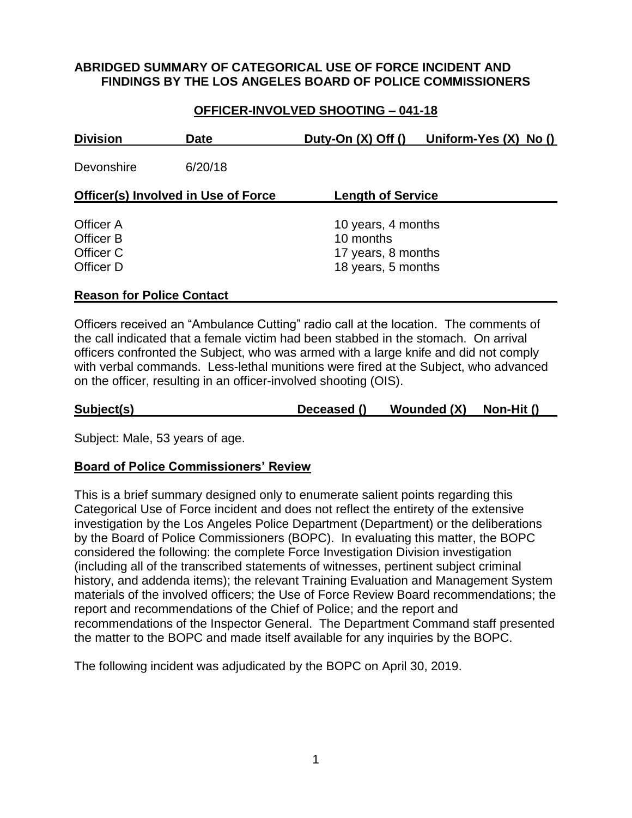### **ABRIDGED SUMMARY OF CATEGORICAL USE OF FORCE INCIDENT AND FINDINGS BY THE LOS ANGELES BOARD OF POLICE COMMISSIONERS**

## **OFFICER-INVOLVED SHOOTING – 041-18**

| <b>Division</b>                                  | <b>Date</b> | Duty-On $(X)$ Off $()$                                                      | Uniform-Yes $(X)$ No $()$ |
|--------------------------------------------------|-------------|-----------------------------------------------------------------------------|---------------------------|
| Devonshire                                       | 6/20/18     |                                                                             |                           |
| <b>Officer(s) Involved in Use of Force</b>       |             | <b>Length of Service</b>                                                    |                           |
| Officer A<br>Officer B<br>Officer C<br>Officer D |             | 10 years, 4 months<br>10 months<br>17 years, 8 months<br>18 years, 5 months |                           |

#### **Reason for Police Contact**

Officers received an "Ambulance Cutting" radio call at the location. The comments of the call indicated that a female victim had been stabbed in the stomach. On arrival officers confronted the Subject, who was armed with a large knife and did not comply with verbal commands. Less-lethal munitions were fired at the Subject, who advanced on the officer, resulting in an officer-involved shooting (OIS).

| Subject(s) | Deceased () | Wounded (X) | Non-Hit () |  |
|------------|-------------|-------------|------------|--|
|            |             |             |            |  |

Subject: Male, 53 years of age.

### **Board of Police Commissioners' Review**

This is a brief summary designed only to enumerate salient points regarding this Categorical Use of Force incident and does not reflect the entirety of the extensive investigation by the Los Angeles Police Department (Department) or the deliberations by the Board of Police Commissioners (BOPC). In evaluating this matter, the BOPC considered the following: the complete Force Investigation Division investigation (including all of the transcribed statements of witnesses, pertinent subject criminal history, and addenda items); the relevant Training Evaluation and Management System materials of the involved officers; the Use of Force Review Board recommendations; the report and recommendations of the Chief of Police; and the report and recommendations of the Inspector General. The Department Command staff presented the matter to the BOPC and made itself available for any inquiries by the BOPC.

The following incident was adjudicated by the BOPC on April 30, 2019.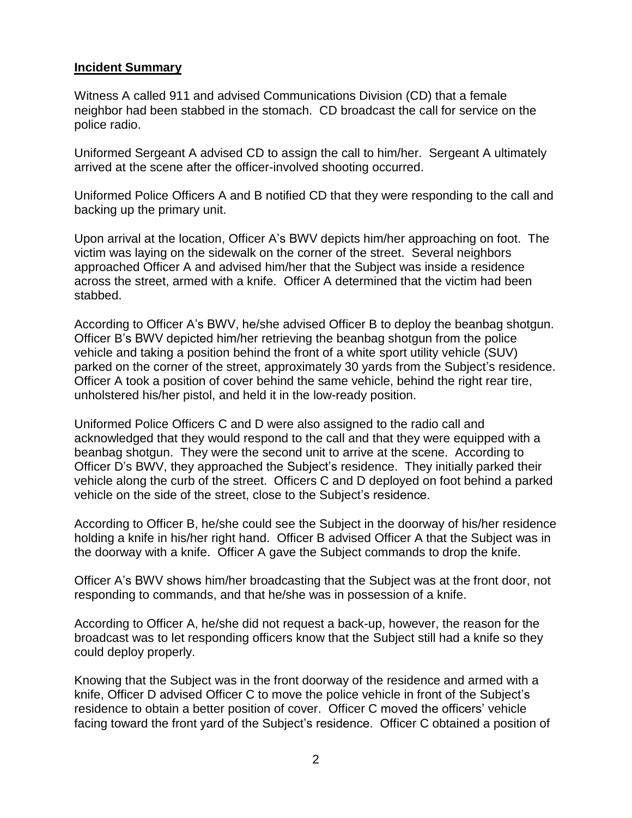### **Incident Summary**

Witness A called 911 and advised Communications Division (CD) that a female neighbor had been stabbed in the stomach. CD broadcast the call for service on the police radio.

Uniformed Sergeant A advised CD to assign the call to him/her. Sergeant A ultimately arrived at the scene after the officer-involved shooting occurred.

Uniformed Police Officers A and B notified CD that they were responding to the call and backing up the primary unit.

Upon arrival at the location, Officer A's BWV depicts him/her approaching on foot. The victim was laying on the sidewalk on the corner of the street. Several neighbors approached Officer A and advised him/her that the Subject was inside a residence across the street, armed with a knife. Officer A determined that the victim had been stabbed.

According to Officer A's BWV, he/she advised Officer B to deploy the beanbag shotgun. Officer B's BWV depicted him/her retrieving the beanbag shotgun from the police vehicle and taking a position behind the front of a white sport utility vehicle (SUV) parked on the corner of the street, approximately 30 yards from the Subject's residence. Officer A took a position of cover behind the same vehicle, behind the right rear tire, unholstered his/her pistol, and held it in the low-ready position.

Uniformed Police Officers C and D were also assigned to the radio call and acknowledged that they would respond to the call and that they were equipped with a beanbag shotgun. They were the second unit to arrive at the scene. According to Officer D's BWV, they approached the Subject's residence. They initially parked their vehicle along the curb of the street. Officers C and D deployed on foot behind a parked vehicle on the side of the street, close to the Subject's residence.

According to Officer B, he/she could see the Subject in the doorway of his/her residence holding a knife in his/her right hand. Officer B advised Officer A that the Subject was in the doorway with a knife. Officer A gave the Subject commands to drop the knife.

Officer A's BWV shows him/her broadcasting that the Subject was at the front door, not responding to commands, and that he/she was in possession of a knife.

According to Officer A, he/she did not request a back-up, however, the reason for the broadcast was to let responding officers know that the Subject still had a knife so they could deploy properly.

Knowing that the Subject was in the front doorway of the residence and armed with a knife, Officer D advised Officer C to move the police vehicle in front of the Subject's residence to obtain a better position of cover. Officer C moved the officers' vehicle facing toward the front yard of the Subject's residence. Officer C obtained a position of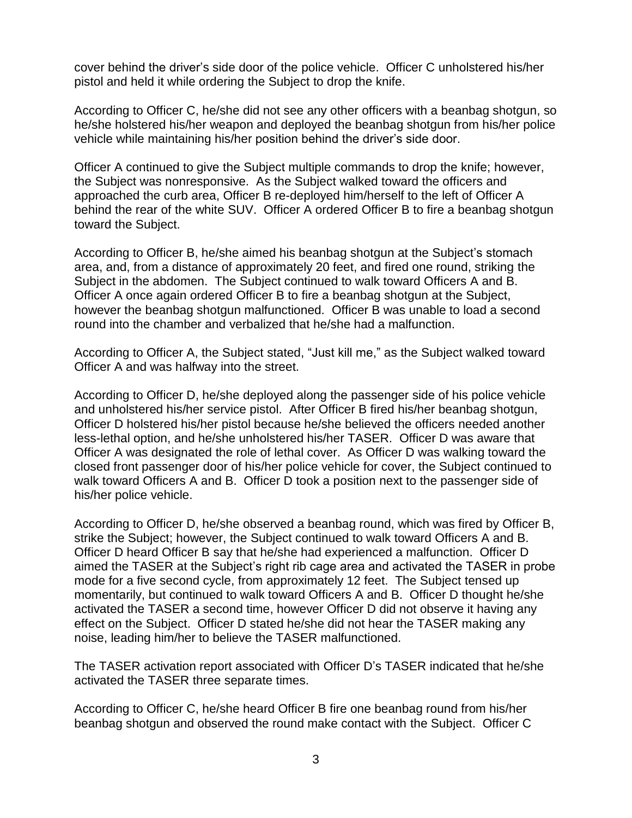cover behind the driver's side door of the police vehicle. Officer C unholstered his/her pistol and held it while ordering the Subject to drop the knife.

According to Officer C, he/she did not see any other officers with a beanbag shotgun, so he/she holstered his/her weapon and deployed the beanbag shotgun from his/her police vehicle while maintaining his/her position behind the driver's side door.

Officer A continued to give the Subject multiple commands to drop the knife; however, the Subject was nonresponsive. As the Subject walked toward the officers and approached the curb area, Officer B re-deployed him/herself to the left of Officer A behind the rear of the white SUV. Officer A ordered Officer B to fire a beanbag shotgun toward the Subject.

According to Officer B, he/she aimed his beanbag shotgun at the Subject's stomach area, and, from a distance of approximately 20 feet, and fired one round, striking the Subject in the abdomen. The Subject continued to walk toward Officers A and B. Officer A once again ordered Officer B to fire a beanbag shotgun at the Subject, however the beanbag shotgun malfunctioned. Officer B was unable to load a second round into the chamber and verbalized that he/she had a malfunction.

According to Officer A, the Subject stated, "Just kill me," as the Subject walked toward Officer A and was halfway into the street.

According to Officer D, he/she deployed along the passenger side of his police vehicle and unholstered his/her service pistol. After Officer B fired his/her beanbag shotgun, Officer D holstered his/her pistol because he/she believed the officers needed another less-lethal option, and he/she unholstered his/her TASER. Officer D was aware that Officer A was designated the role of lethal cover. As Officer D was walking toward the closed front passenger door of his/her police vehicle for cover, the Subject continued to walk toward Officers A and B. Officer D took a position next to the passenger side of his/her police vehicle.

According to Officer D, he/she observed a beanbag round, which was fired by Officer B, strike the Subject; however, the Subject continued to walk toward Officers A and B. Officer D heard Officer B say that he/she had experienced a malfunction. Officer D aimed the TASER at the Subject's right rib cage area and activated the TASER in probe mode for a five second cycle, from approximately 12 feet. The Subject tensed up momentarily, but continued to walk toward Officers A and B. Officer D thought he/she activated the TASER a second time, however Officer D did not observe it having any effect on the Subject. Officer D stated he/she did not hear the TASER making any noise, leading him/her to believe the TASER malfunctioned.

The TASER activation report associated with Officer D's TASER indicated that he/she activated the TASER three separate times.

According to Officer C, he/she heard Officer B fire one beanbag round from his/her beanbag shotgun and observed the round make contact with the Subject. Officer C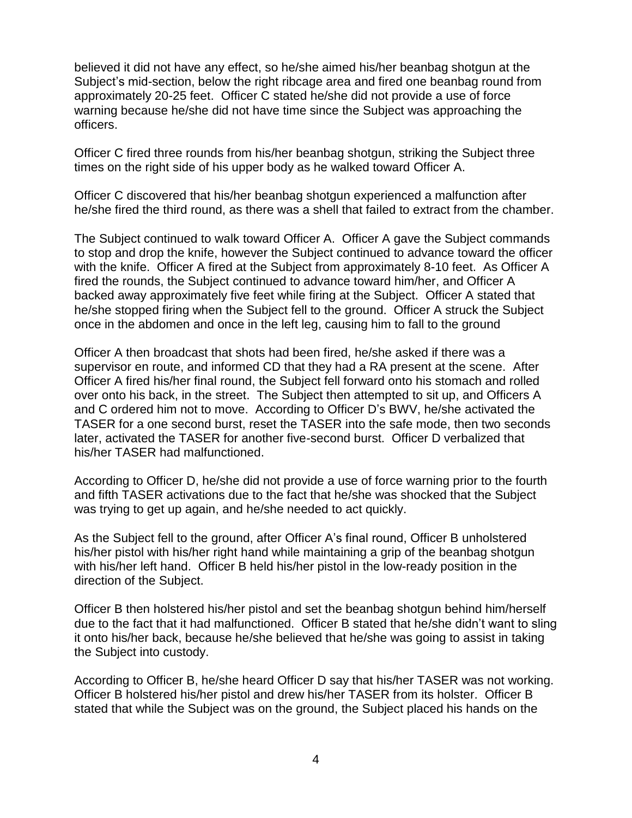believed it did not have any effect, so he/she aimed his/her beanbag shotgun at the Subject's mid-section, below the right ribcage area and fired one beanbag round from approximately 20-25 feet. Officer C stated he/she did not provide a use of force warning because he/she did not have time since the Subject was approaching the officers.

Officer C fired three rounds from his/her beanbag shotgun, striking the Subject three times on the right side of his upper body as he walked toward Officer A.

Officer C discovered that his/her beanbag shotgun experienced a malfunction after he/she fired the third round, as there was a shell that failed to extract from the chamber.

The Subject continued to walk toward Officer A. Officer A gave the Subject commands to stop and drop the knife, however the Subject continued to advance toward the officer with the knife. Officer A fired at the Subject from approximately 8-10 feet. As Officer A fired the rounds, the Subject continued to advance toward him/her, and Officer A backed away approximately five feet while firing at the Subject. Officer A stated that he/she stopped firing when the Subject fell to the ground. Officer A struck the Subject once in the abdomen and once in the left leg, causing him to fall to the ground

Officer A then broadcast that shots had been fired, he/she asked if there was a supervisor en route, and informed CD that they had a RA present at the scene. After Officer A fired his/her final round, the Subject fell forward onto his stomach and rolled over onto his back, in the street. The Subject then attempted to sit up, and Officers A and C ordered him not to move. According to Officer D's BWV, he/she activated the TASER for a one second burst, reset the TASER into the safe mode, then two seconds later, activated the TASER for another five-second burst. Officer D verbalized that his/her TASER had malfunctioned.

According to Officer D, he/she did not provide a use of force warning prior to the fourth and fifth TASER activations due to the fact that he/she was shocked that the Subject was trying to get up again, and he/she needed to act quickly.

As the Subject fell to the ground, after Officer A's final round, Officer B unholstered his/her pistol with his/her right hand while maintaining a grip of the beanbag shotgun with his/her left hand. Officer B held his/her pistol in the low-ready position in the direction of the Subject.

Officer B then holstered his/her pistol and set the beanbag shotgun behind him/herself due to the fact that it had malfunctioned. Officer B stated that he/she didn't want to sling it onto his/her back, because he/she believed that he/she was going to assist in taking the Subject into custody.

According to Officer B, he/she heard Officer D say that his/her TASER was not working. Officer B holstered his/her pistol and drew his/her TASER from its holster. Officer B stated that while the Subject was on the ground, the Subject placed his hands on the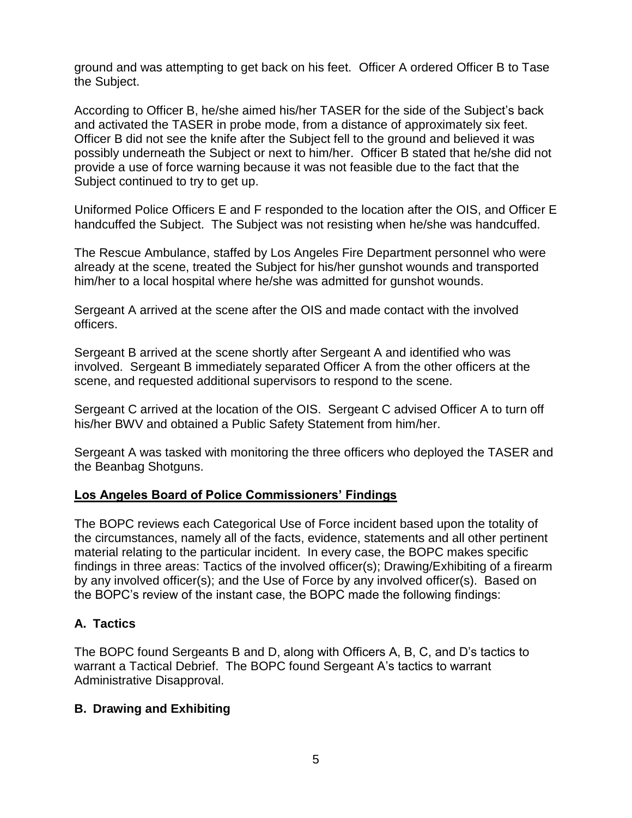ground and was attempting to get back on his feet. Officer A ordered Officer B to Tase the Subject.

According to Officer B, he/she aimed his/her TASER for the side of the Subject's back and activated the TASER in probe mode, from a distance of approximately six feet. Officer B did not see the knife after the Subject fell to the ground and believed it was possibly underneath the Subject or next to him/her. Officer B stated that he/she did not provide a use of force warning because it was not feasible due to the fact that the Subject continued to try to get up.

Uniformed Police Officers E and F responded to the location after the OIS, and Officer E handcuffed the Subject. The Subject was not resisting when he/she was handcuffed.

The Rescue Ambulance, staffed by Los Angeles Fire Department personnel who were already at the scene, treated the Subject for his/her gunshot wounds and transported him/her to a local hospital where he/she was admitted for gunshot wounds.

Sergeant A arrived at the scene after the OIS and made contact with the involved officers.

Sergeant B arrived at the scene shortly after Sergeant A and identified who was involved. Sergeant B immediately separated Officer A from the other officers at the scene, and requested additional supervisors to respond to the scene.

Sergeant C arrived at the location of the OIS. Sergeant C advised Officer A to turn off his/her BWV and obtained a Public Safety Statement from him/her.

Sergeant A was tasked with monitoring the three officers who deployed the TASER and the Beanbag Shotguns.

### **Los Angeles Board of Police Commissioners' Findings**

The BOPC reviews each Categorical Use of Force incident based upon the totality of the circumstances, namely all of the facts, evidence, statements and all other pertinent material relating to the particular incident. In every case, the BOPC makes specific findings in three areas: Tactics of the involved officer(s); Drawing/Exhibiting of a firearm by any involved officer(s); and the Use of Force by any involved officer(s). Based on the BOPC's review of the instant case, the BOPC made the following findings:

## **A. Tactics**

The BOPC found Sergeants B and D, along with Officers A, B, C, and D's tactics to warrant a Tactical Debrief. The BOPC found Sergeant A's tactics to warrant Administrative Disapproval.

## **B. Drawing and Exhibiting**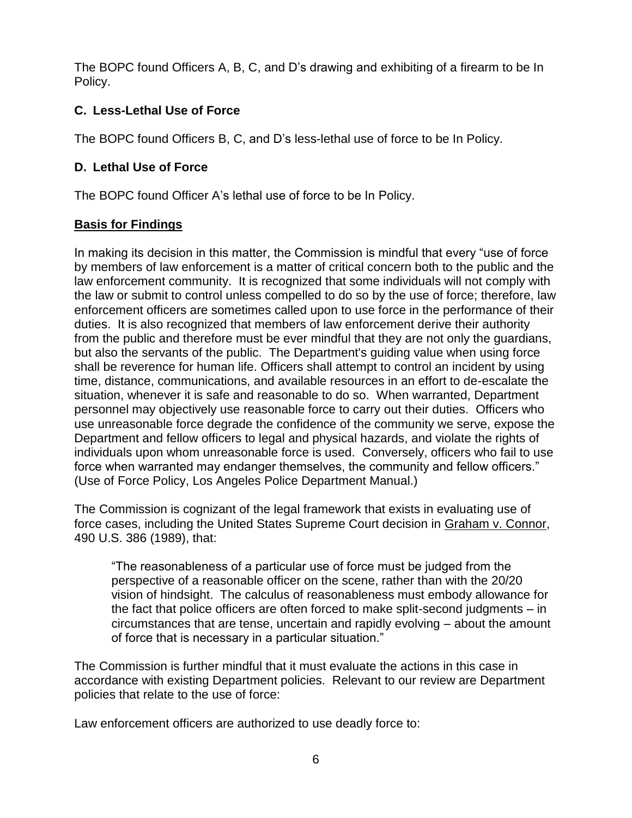The BOPC found Officers A, B, C, and D's drawing and exhibiting of a firearm to be In Policy.

# **C. Less-Lethal Use of Force**

The BOPC found Officers B, C, and D's less-lethal use of force to be In Policy.

# **D. Lethal Use of Force**

The BOPC found Officer A's lethal use of force to be In Policy.

# **Basis for Findings**

In making its decision in this matter, the Commission is mindful that every "use of force by members of law enforcement is a matter of critical concern both to the public and the law enforcement community. It is recognized that some individuals will not comply with the law or submit to control unless compelled to do so by the use of force; therefore, law enforcement officers are sometimes called upon to use force in the performance of their duties. It is also recognized that members of law enforcement derive their authority from the public and therefore must be ever mindful that they are not only the guardians, but also the servants of the public. The Department's guiding value when using force shall be reverence for human life. Officers shall attempt to control an incident by using time, distance, communications, and available resources in an effort to de-escalate the situation, whenever it is safe and reasonable to do so. When warranted, Department personnel may objectively use reasonable force to carry out their duties. Officers who use unreasonable force degrade the confidence of the community we serve, expose the Department and fellow officers to legal and physical hazards, and violate the rights of individuals upon whom unreasonable force is used. Conversely, officers who fail to use force when warranted may endanger themselves, the community and fellow officers." (Use of Force Policy, Los Angeles Police Department Manual.)

The Commission is cognizant of the legal framework that exists in evaluating use of force cases, including the United States Supreme Court decision in Graham v. Connor, 490 U.S. 386 (1989), that:

"The reasonableness of a particular use of force must be judged from the perspective of a reasonable officer on the scene, rather than with the 20/20 vision of hindsight. The calculus of reasonableness must embody allowance for the fact that police officers are often forced to make split-second judgments – in circumstances that are tense, uncertain and rapidly evolving – about the amount of force that is necessary in a particular situation."

The Commission is further mindful that it must evaluate the actions in this case in accordance with existing Department policies. Relevant to our review are Department policies that relate to the use of force:

Law enforcement officers are authorized to use deadly force to: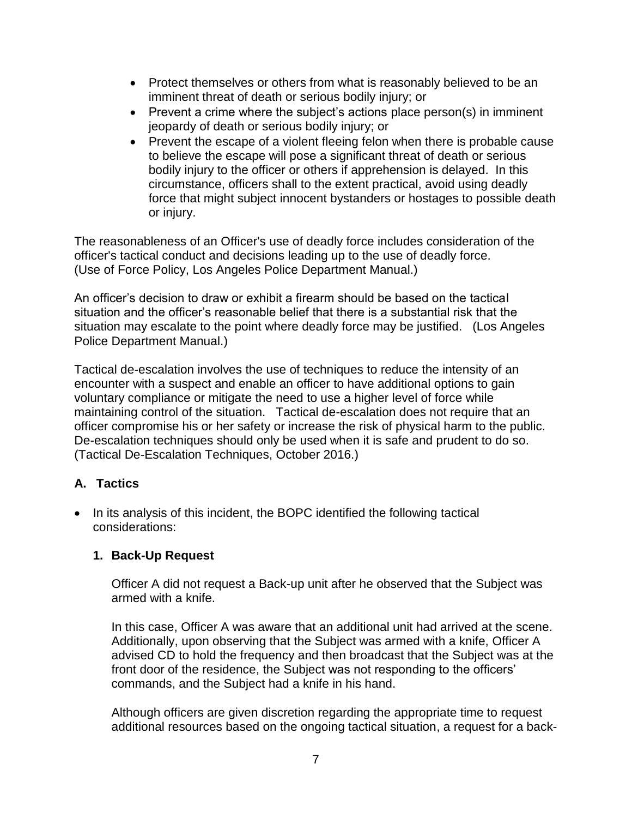- Protect themselves or others from what is reasonably believed to be an imminent threat of death or serious bodily injury; or
- Prevent a crime where the subject's actions place person(s) in imminent jeopardy of death or serious bodily injury; or
- Prevent the escape of a violent fleeing felon when there is probable cause to believe the escape will pose a significant threat of death or serious bodily injury to the officer or others if apprehension is delayed. In this circumstance, officers shall to the extent practical, avoid using deadly force that might subject innocent bystanders or hostages to possible death or injury.

The reasonableness of an Officer's use of deadly force includes consideration of the officer's tactical conduct and decisions leading up to the use of deadly force. (Use of Force Policy, Los Angeles Police Department Manual.)

An officer's decision to draw or exhibit a firearm should be based on the tactical situation and the officer's reasonable belief that there is a substantial risk that the situation may escalate to the point where deadly force may be justified. (Los Angeles Police Department Manual.)

Tactical de-escalation involves the use of techniques to reduce the intensity of an encounter with a suspect and enable an officer to have additional options to gain voluntary compliance or mitigate the need to use a higher level of force while maintaining control of the situation. Tactical de-escalation does not require that an officer compromise his or her safety or increase the risk of physical harm to the public. De-escalation techniques should only be used when it is safe and prudent to do so. (Tactical De-Escalation Techniques, October 2016.)

# **A. Tactics**

• In its analysis of this incident, the BOPC identified the following tactical considerations:

# **1. Back-Up Request**

Officer A did not request a Back-up unit after he observed that the Subject was armed with a knife.

In this case, Officer A was aware that an additional unit had arrived at the scene. Additionally, upon observing that the Subject was armed with a knife, Officer A advised CD to hold the frequency and then broadcast that the Subject was at the front door of the residence, the Subject was not responding to the officers' commands, and the Subject had a knife in his hand.

Although officers are given discretion regarding the appropriate time to request additional resources based on the ongoing tactical situation, a request for a back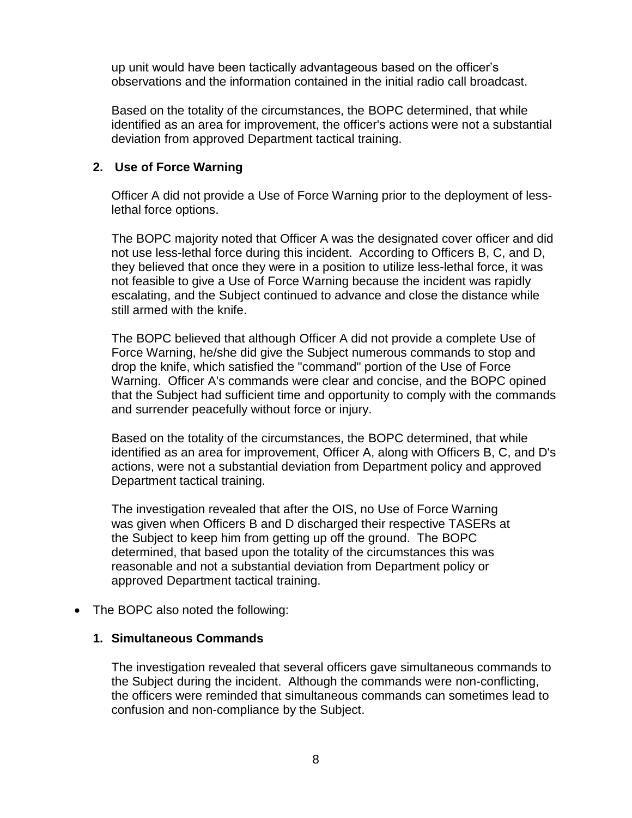up unit would have been tactically advantageous based on the officer's observations and the information contained in the initial radio call broadcast.

Based on the totality of the circumstances, the BOPC determined, that while identified as an area for improvement, the officer's actions were not a substantial deviation from approved Department tactical training.

### **2. Use of Force Warning**

Officer A did not provide a Use of Force Warning prior to the deployment of lesslethal force options.

The BOPC majority noted that Officer A was the designated cover officer and did not use less-lethal force during this incident. According to Officers B, C, and D, they believed that once they were in a position to utilize less-lethal force, it was not feasible to give a Use of Force Warning because the incident was rapidly escalating, and the Subject continued to advance and close the distance while still armed with the knife.

The BOPC believed that although Officer A did not provide a complete Use of Force Warning, he/she did give the Subject numerous commands to stop and drop the knife, which satisfied the "command" portion of the Use of Force Warning. Officer A's commands were clear and concise, and the BOPC opined that the Subject had sufficient time and opportunity to comply with the commands and surrender peacefully without force or injury.

Based on the totality of the circumstances, the BOPC determined, that while identified as an area for improvement, Officer A, along with Officers B, C, and D's actions, were not a substantial deviation from Department policy and approved Department tactical training.

The investigation revealed that after the OIS, no Use of Force Warning was given when Officers B and D discharged their respective TASERs at the Subject to keep him from getting up off the ground. The BOPC determined, that based upon the totality of the circumstances this was reasonable and not a substantial deviation from Department policy or approved Department tactical training.

• The BOPC also noted the following:

#### **1. Simultaneous Commands**

The investigation revealed that several officers gave simultaneous commands to the Subject during the incident. Although the commands were non-conflicting, the officers were reminded that simultaneous commands can sometimes lead to confusion and non-compliance by the Subject.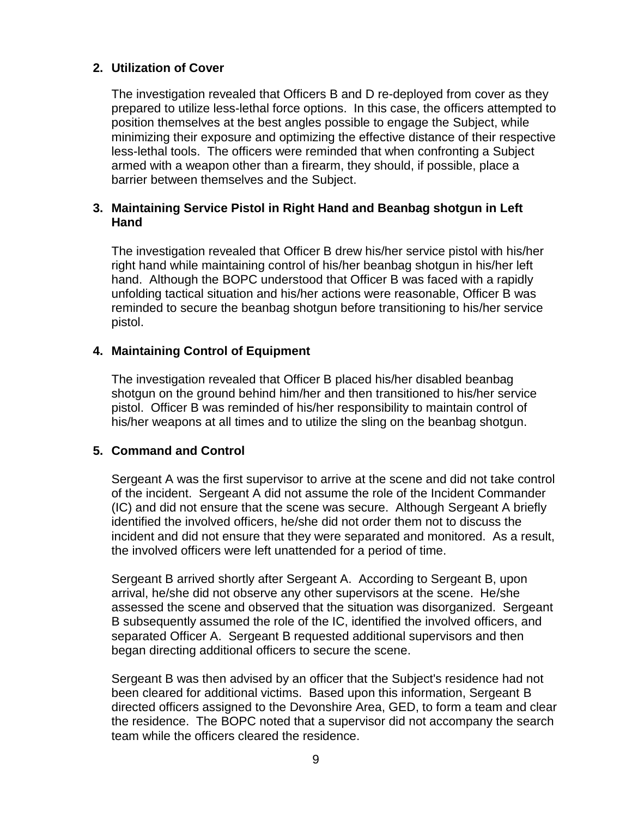### **2. Utilization of Cover**

The investigation revealed that Officers B and D re-deployed from cover as they prepared to utilize less-lethal force options. In this case, the officers attempted to position themselves at the best angles possible to engage the Subject, while minimizing their exposure and optimizing the effective distance of their respective less-lethal tools. The officers were reminded that when confronting a Subject armed with a weapon other than a firearm, they should, if possible, place a barrier between themselves and the Subject.

### **3. Maintaining Service Pistol in Right Hand and Beanbag shotgun in Left Hand**

The investigation revealed that Officer B drew his/her service pistol with his/her right hand while maintaining control of his/her beanbag shotgun in his/her left hand. Although the BOPC understood that Officer B was faced with a rapidly unfolding tactical situation and his/her actions were reasonable, Officer B was reminded to secure the beanbag shotgun before transitioning to his/her service pistol.

### **4. Maintaining Control of Equipment**

The investigation revealed that Officer B placed his/her disabled beanbag shotgun on the ground behind him/her and then transitioned to his/her service pistol. Officer B was reminded of his/her responsibility to maintain control of his/her weapons at all times and to utilize the sling on the beanbag shotgun.

### **5. Command and Control**

Sergeant A was the first supervisor to arrive at the scene and did not take control of the incident. Sergeant A did not assume the role of the Incident Commander (IC) and did not ensure that the scene was secure. Although Sergeant A briefly identified the involved officers, he/she did not order them not to discuss the incident and did not ensure that they were separated and monitored. As a result, the involved officers were left unattended for a period of time.

Sergeant B arrived shortly after Sergeant A. According to Sergeant B, upon arrival, he/she did not observe any other supervisors at the scene. He/she assessed the scene and observed that the situation was disorganized. Sergeant B subsequently assumed the role of the IC, identified the involved officers, and separated Officer A. Sergeant B requested additional supervisors and then began directing additional officers to secure the scene.

Sergeant B was then advised by an officer that the Subject's residence had not been cleared for additional victims. Based upon this information, Sergeant B directed officers assigned to the Devonshire Area, GED, to form a team and clear the residence. The BOPC noted that a supervisor did not accompany the search team while the officers cleared the residence.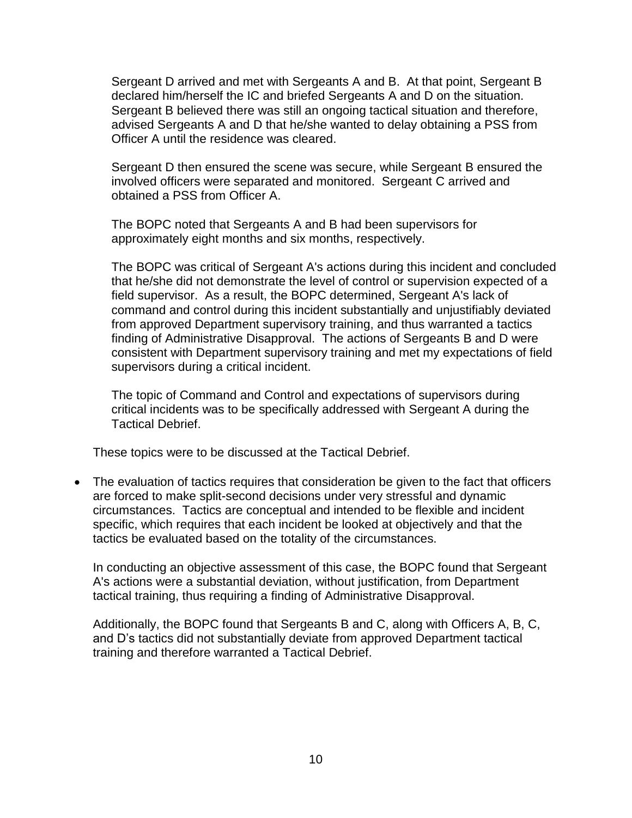Sergeant D arrived and met with Sergeants A and B. At that point, Sergeant B declared him/herself the IC and briefed Sergeants A and D on the situation. Sergeant B believed there was still an ongoing tactical situation and therefore, advised Sergeants A and D that he/she wanted to delay obtaining a PSS from Officer A until the residence was cleared.

Sergeant D then ensured the scene was secure, while Sergeant B ensured the involved officers were separated and monitored. Sergeant C arrived and obtained a PSS from Officer A.

The BOPC noted that Sergeants A and B had been supervisors for approximately eight months and six months, respectively.

The BOPC was critical of Sergeant A's actions during this incident and concluded that he/she did not demonstrate the level of control or supervision expected of a field supervisor. As a result, the BOPC determined, Sergeant A's lack of command and control during this incident substantially and unjustifiably deviated from approved Department supervisory training, and thus warranted a tactics finding of Administrative Disapproval. The actions of Sergeants B and D were consistent with Department supervisory training and met my expectations of field supervisors during a critical incident.

The topic of Command and Control and expectations of supervisors during critical incidents was to be specifically addressed with Sergeant A during the Tactical Debrief.

These topics were to be discussed at the Tactical Debrief.

• The evaluation of tactics requires that consideration be given to the fact that officers are forced to make split-second decisions under very stressful and dynamic circumstances. Tactics are conceptual and intended to be flexible and incident specific, which requires that each incident be looked at objectively and that the tactics be evaluated based on the totality of the circumstances.

In conducting an objective assessment of this case, the BOPC found that Sergeant A's actions were a substantial deviation, without justification, from Department tactical training, thus requiring a finding of Administrative Disapproval.

Additionally, the BOPC found that Sergeants B and C, along with Officers A, B, C, and D's tactics did not substantially deviate from approved Department tactical training and therefore warranted a Tactical Debrief.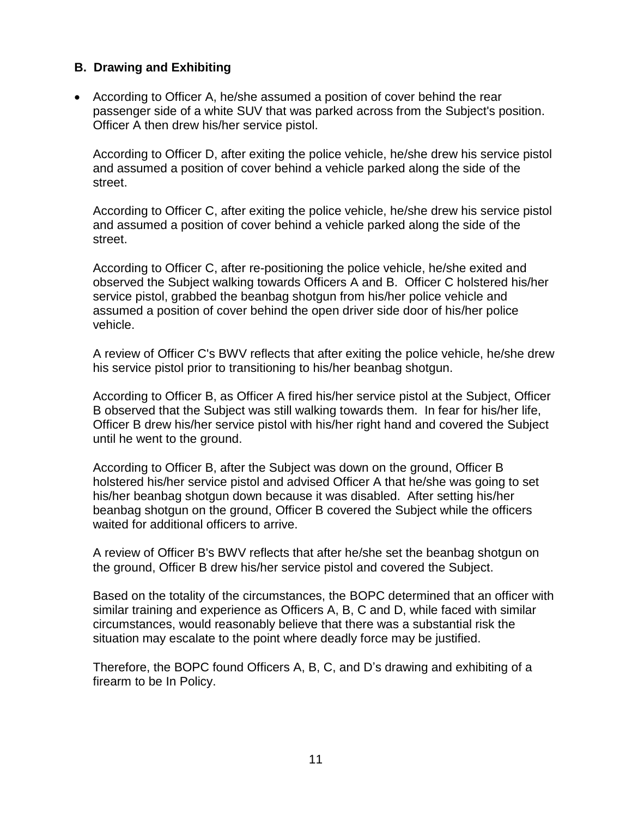### **B. Drawing and Exhibiting**

• According to Officer A, he/she assumed a position of cover behind the rear passenger side of a white SUV that was parked across from the Subject's position. Officer A then drew his/her service pistol.

According to Officer D, after exiting the police vehicle, he/she drew his service pistol and assumed a position of cover behind a vehicle parked along the side of the street.

According to Officer C, after exiting the police vehicle, he/she drew his service pistol and assumed a position of cover behind a vehicle parked along the side of the street.

According to Officer C, after re-positioning the police vehicle, he/she exited and observed the Subject walking towards Officers A and B. Officer C holstered his/her service pistol, grabbed the beanbag shotgun from his/her police vehicle and assumed a position of cover behind the open driver side door of his/her police vehicle.

A review of Officer C's BWV reflects that after exiting the police vehicle, he/she drew his service pistol prior to transitioning to his/her beanbag shotgun.

According to Officer B, as Officer A fired his/her service pistol at the Subject, Officer B observed that the Subject was still walking towards them. In fear for his/her life, Officer B drew his/her service pistol with his/her right hand and covered the Subject until he went to the ground.

According to Officer B, after the Subject was down on the ground, Officer B holstered his/her service pistol and advised Officer A that he/she was going to set his/her beanbag shotgun down because it was disabled. After setting his/her beanbag shotgun on the ground, Officer B covered the Subject while the officers waited for additional officers to arrive.

A review of Officer B's BWV reflects that after he/she set the beanbag shotgun on the ground, Officer B drew his/her service pistol and covered the Subject.

Based on the totality of the circumstances, the BOPC determined that an officer with similar training and experience as Officers A, B, C and D, while faced with similar circumstances, would reasonably believe that there was a substantial risk the situation may escalate to the point where deadly force may be justified.

Therefore, the BOPC found Officers A, B, C, and D's drawing and exhibiting of a firearm to be In Policy.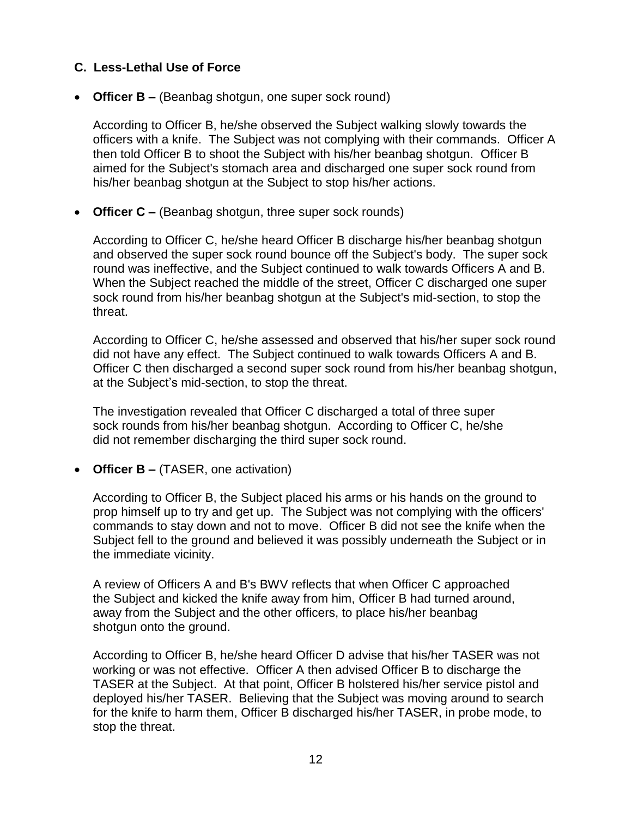### **C. Less-Lethal Use of Force**

• **Officer B –** (Beanbag shotgun, one super sock round)

According to Officer B, he/she observed the Subject walking slowly towards the officers with a knife. The Subject was not complying with their commands. Officer A then told Officer B to shoot the Subject with his/her beanbag shotgun. Officer B aimed for the Subject's stomach area and discharged one super sock round from his/her beanbag shotgun at the Subject to stop his/her actions.

• **Officer C –** (Beanbag shotgun, three super sock rounds)

According to Officer C, he/she heard Officer B discharge his/her beanbag shotgun and observed the super sock round bounce off the Subject's body. The super sock round was ineffective, and the Subject continued to walk towards Officers A and B. When the Subject reached the middle of the street, Officer C discharged one super sock round from his/her beanbag shotgun at the Subject's mid-section, to stop the threat.

According to Officer C, he/she assessed and observed that his/her super sock round did not have any effect. The Subject continued to walk towards Officers A and B. Officer C then discharged a second super sock round from his/her beanbag shotgun, at the Subject's mid-section, to stop the threat.

The investigation revealed that Officer C discharged a total of three super sock rounds from his/her beanbag shotgun. According to Officer C, he/she did not remember discharging the third super sock round.

• **Officer B –** (TASER, one activation)

According to Officer B, the Subject placed his arms or his hands on the ground to prop himself up to try and get up. The Subject was not complying with the officers' commands to stay down and not to move. Officer B did not see the knife when the Subject fell to the ground and believed it was possibly underneath the Subject or in the immediate vicinity.

A review of Officers A and B's BWV reflects that when Officer C approached the Subject and kicked the knife away from him, Officer B had turned around, away from the Subject and the other officers, to place his/her beanbag shotgun onto the ground.

According to Officer B, he/she heard Officer D advise that his/her TASER was not working or was not effective. Officer A then advised Officer B to discharge the TASER at the Subject. At that point, Officer B holstered his/her service pistol and deployed his/her TASER. Believing that the Subject was moving around to search for the knife to harm them, Officer B discharged his/her TASER, in probe mode, to stop the threat.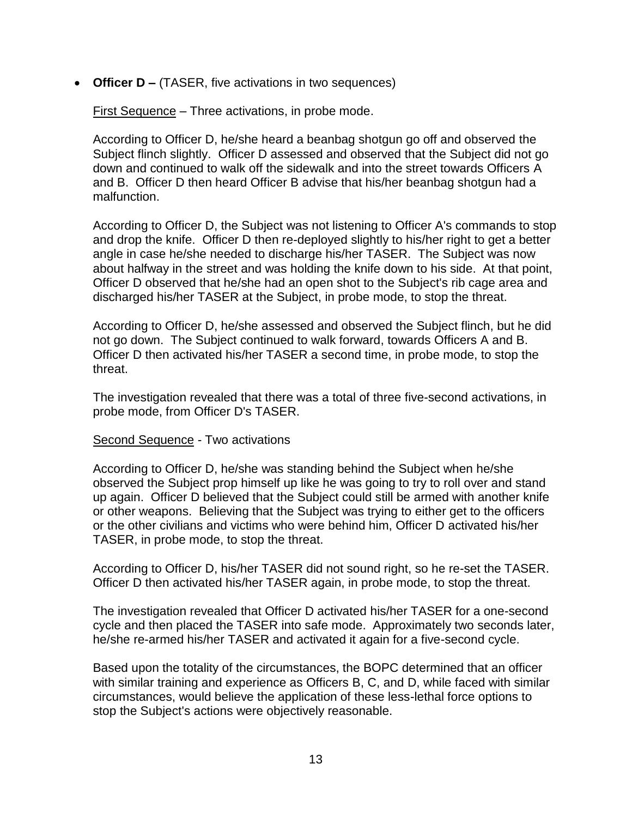• **Officer D –** (TASER, five activations in two sequences)

First Sequence – Three activations, in probe mode.

According to Officer D, he/she heard a beanbag shotgun go off and observed the Subject flinch slightly. Officer D assessed and observed that the Subject did not go down and continued to walk off the sidewalk and into the street towards Officers A and B. Officer D then heard Officer B advise that his/her beanbag shotgun had a malfunction.

According to Officer D, the Subject was not listening to Officer A's commands to stop and drop the knife. Officer D then re-deployed slightly to his/her right to get a better angle in case he/she needed to discharge his/her TASER. The Subject was now about halfway in the street and was holding the knife down to his side. At that point, Officer D observed that he/she had an open shot to the Subject's rib cage area and discharged his/her TASER at the Subject, in probe mode, to stop the threat.

According to Officer D, he/she assessed and observed the Subject flinch, but he did not go down. The Subject continued to walk forward, towards Officers A and B. Officer D then activated his/her TASER a second time, in probe mode, to stop the threat.

The investigation revealed that there was a total of three five-second activations, in probe mode, from Officer D's TASER.

Second Sequence - Two activations

According to Officer D, he/she was standing behind the Subject when he/she observed the Subject prop himself up like he was going to try to roll over and stand up again. Officer D believed that the Subject could still be armed with another knife or other weapons. Believing that the Subject was trying to either get to the officers or the other civilians and victims who were behind him, Officer D activated his/her TASER, in probe mode, to stop the threat.

According to Officer D, his/her TASER did not sound right, so he re-set the TASER. Officer D then activated his/her TASER again, in probe mode, to stop the threat.

The investigation revealed that Officer D activated his/her TASER for a one-second cycle and then placed the TASER into safe mode. Approximately two seconds later, he/she re-armed his/her TASER and activated it again for a five-second cycle.

Based upon the totality of the circumstances, the BOPC determined that an officer with similar training and experience as Officers B, C, and D, while faced with similar circumstances, would believe the application of these less-lethal force options to stop the Subject's actions were objectively reasonable.